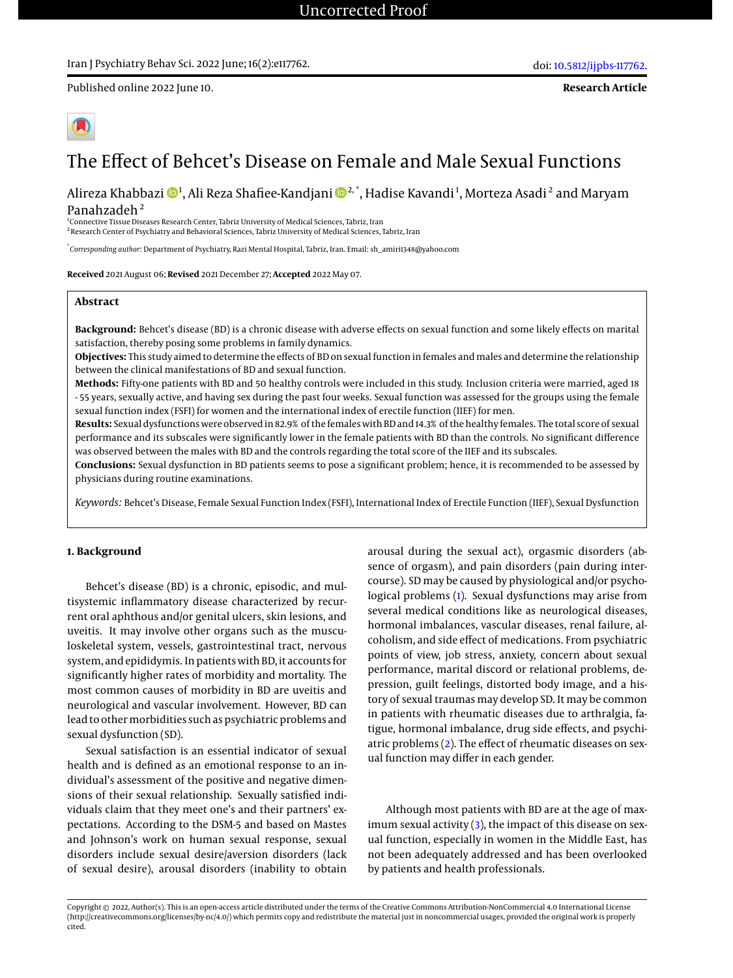## Iran J Psychiatry Behav Sci. 2022 June; 16(2):e117762.

Published online 2022 June 10.

**Research Article**



# The Effect of Behcet's Disease on Female and Male Sexual Functions

Alireza Khabbazi  $\mathbf{\Phi}^1$ , Ali Reza Shafiee-Kandjani  $\mathbf{\Phi}^{2, *},$  Hadise Kavandi  $^1$ , Morteza Asadi  $^2$  and Maryam Panahzadeh<sup>2</sup>

1 Connective Tissue Diseases Research Center, Tabriz University of Medical Sciences, Tabriz, Iran 2 Research Center of Psychiatry and Behavioral Sciences, Tabriz University of Medical Sciences, Tabriz, Iran

\* *Corresponding author*: Department of Psychiatry, Razi Mental Hospital, Tabriz, Iran. Email: sh\_amiri1348@yahoo.com

**Received** 2021 August 06; **Revised** 2021 December 27; **Accepted** 2022 May 07.

# **Abstract**

**Background:** Behcet's disease (BD) is a chronic disease with adverse effects on sexual function and some likely effects on marital satisfaction, thereby posing some problems in family dynamics.

**Objectives:** This study aimed to determine the effects of BD on sexual function in females and males and determine the relationship between the clinical manifestations of BD and sexual function.

**Methods:** Fifty-one patients with BD and 50 healthy controls were included in this study. Inclusion criteria were married, aged 18 - 55 years, sexually active, and having sex during the past four weeks. Sexual function was assessed for the groups using the female sexual function index (FSFI) for women and the international index of erectile function (IIEF) for men.

**Results:** Sexual dysfunctions were observed in 82.9% of the females with BD and 14.3% of the healthy females. The total score of sexual performance and its subscales were significantly lower in the female patients with BD than the controls. No significant difference was observed between the males with BD and the controls regarding the total score of the IIEF and its subscales.

**Conclusions:** Sexual dysfunction in BD patients seems to pose a significant problem; hence, it is recommended to be assessed by physicians during routine examinations.

*Keywords:* Behcet's Disease, Female Sexual Function Index (FSFI), International Index of Erectile Function (IIEF), Sexual Dysfunction

## **1. Background**

Behcet's disease (BD) is a chronic, episodic, and multisystemic inflammatory disease characterized by recurrent oral aphthous and/or genital ulcers, skin lesions, and uveitis. It may involve other organs such as the musculoskeletal system, vessels, gastrointestinal tract, nervous system, and epididymis. In patients with BD, it accounts for significantly higher rates of morbidity and mortality. The most common causes of morbidity in BD are uveitis and neurological and vascular involvement. However, BD can lead to other morbidities such as psychiatric problems and sexual dysfunction (SD).

Sexual satisfaction is an essential indicator of sexual health and is defined as an emotional response to an individual's assessment of the positive and negative dimensions of their sexual relationship. Sexually satisfied individuals claim that they meet one's and their partners' expectations. According to the DSM-5 and based on Mastes and Johnson's work on human sexual response, sexual disorders include sexual desire/aversion disorders (lack of sexual desire), arousal disorders (inability to obtain

arousal during the sexual act), orgasmic disorders (absence of orgasm), and pain disorders (pain during intercourse). SD may be caused by physiological and/or psychological problems [\(1\)](#page-6-0). Sexual dysfunctions may arise from several medical conditions like as neurological diseases, hormonal imbalances, vascular diseases, renal failure, alcoholism, and side effect of medications. From psychiatric points of view, job stress, anxiety, concern about sexual performance, marital discord or relational problems, depression, guilt feelings, distorted body image, and a history of sexual traumas may develop SD. It may be common in patients with rheumatic diseases due to arthralgia, fatigue, hormonal imbalance, drug side effects, and psychiatric problems [\(2\)](#page-6-1). The effect of rheumatic diseases on sexual function may differ in each gender.

Although most patients with BD are at the age of maximum sexual activity [\(3\)](#page-6-2), the impact of this disease on sexual function, especially in women in the Middle East, has not been adequately addressed and has been overlooked by patients and health professionals.

Copyright © 2022, Author(s). This is an open-access article distributed under the terms of the Creative Commons Attribution-NonCommercial 4.0 International License (http://creativecommons.org/licenses/by-nc/4.0/) which permits copy and redistribute the material just in noncommercial usages, provided the original work is properly cited.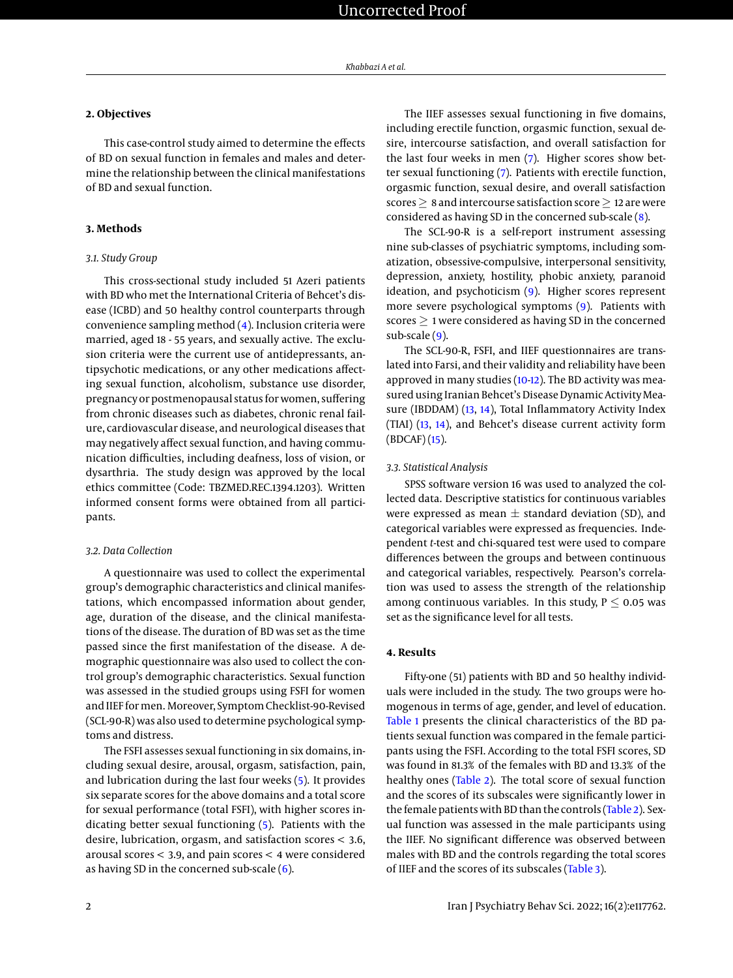# **2. Objectives**

This case-control study aimed to determine the effects of BD on sexual function in females and males and determine the relationship between the clinical manifestations of BD and sexual function.

# **3. Methods**

## *3.1. Study Group*

This cross-sectional study included 51 Azeri patients with BD who met the International Criteria of Behcet's disease (ICBD) and 50 healthy control counterparts through convenience sampling method [\(4\)](#page-6-3). Inclusion criteria were married, aged 18 - 55 years, and sexually active. The exclusion criteria were the current use of antidepressants, antipsychotic medications, or any other medications affecting sexual function, alcoholism, substance use disorder, pregnancy or postmenopausal status for women, suffering from chronic diseases such as diabetes, chronic renal failure, cardiovascular disease, and neurological diseases that may negatively affect sexual function, and having communication difficulties, including deafness, loss of vision, or dysarthria. The study design was approved by the local ethics committee (Code: TBZMED.REC.1394.1203). Written informed consent forms were obtained from all participants.

#### *3.2. Data Collection*

A questionnaire was used to collect the experimental group's demographic characteristics and clinical manifestations, which encompassed information about gender, age, duration of the disease, and the clinical manifestations of the disease. The duration of BD was set as the time passed since the first manifestation of the disease. A demographic questionnaire was also used to collect the control group's demographic characteristics. Sexual function was assessed in the studied groups using FSFI for women and IIEF for men. Moreover, Symptom Checklist-90-Revised (SCL-90-R) was also used to determine psychological symptoms and distress.

The FSFI assesses sexual functioning in six domains, including sexual desire, arousal, orgasm, satisfaction, pain, and lubrication during the last four weeks [\(5\)](#page-6-4). It provides six separate scores for the above domains and a total score for sexual performance (total FSFI), with higher scores indicating better sexual functioning [\(5\)](#page-6-4). Patients with the desire, lubrication, orgasm, and satisfaction scores < 3.6, arousal scores < 3.9, and pain scores < 4 were considered as having SD in the concerned sub-scale [\(6\)](#page-6-5).

The IIEF assesses sexual functioning in five domains, including erectile function, orgasmic function, sexual desire, intercourse satisfaction, and overall satisfaction for the last four weeks in men [\(7\)](#page-6-6). Higher scores show better sexual functioning [\(7\)](#page-6-6). Patients with erectile function, orgasmic function, sexual desire, and overall satisfaction scores > 8 and intercourse satisfaction score > 12 are were considered as having SD in the concerned sub-scale [\(8\)](#page-6-7).

The SCL-90-R is a self-report instrument assessing nine sub-classes of psychiatric symptoms, including somatization, obsessive-compulsive, interpersonal sensitivity, depression, anxiety, hostility, phobic anxiety, paranoid ideation, and psychoticism [\(9\)](#page-6-8). Higher scores represent more severe psychological symptoms [\(9\)](#page-6-8). Patients with scores  $\geq$  1 were considered as having SD in the concerned sub-scale [\(9\)](#page-6-8).

The SCL-90-R, FSFI, and IIEF questionnaires are translated into Farsi, and their validity and reliability have been approved in many studies [\(10](#page-6-9)[-12\)](#page-6-10). The BD activity was measured using Iranian Behcet's Disease Dynamic Activity Measure (IBDDAM) [\(13,](#page-6-11) [14\)](#page-6-12), Total Inflammatory Activity Index (TIAI) [\(13,](#page-6-11) [14\)](#page-6-12), and Behcet's disease current activity form (BDCAF) [\(15\)](#page-6-13).

## *3.3. Statistical Analysis*

SPSS software version 16 was used to analyzed the collected data. Descriptive statistics for continuous variables were expressed as mean  $\pm$  standard deviation (SD), and categorical variables were expressed as frequencies. Independent *t*-test and chi-squared test were used to compare differences between the groups and between continuous and categorical variables, respectively. Pearson's correlation was used to assess the strength of the relationship among continuous variables. In this study,  $P \le 0.05$  was set as the significance level for all tests.

## **4. Results**

Fifty-one (51) patients with BD and 50 healthy individuals were included in the study. The two groups were homogenous in terms of age, gender, and level of education. [Table 1](#page-2-0) presents the clinical characteristics of the BD patients sexual function was compared in the female participants using the FSFI. According to the total FSFI scores, SD was found in 81.3% of the females with BD and 13.3% of the healthy ones [\(Table 2\)](#page-2-1). The total score of sexual function and the scores of its subscales were significantly lower in the female patients with BD than the controls [\(Table 2\)](#page-2-1). Sexual function was assessed in the male participants using the IIEF. No significant difference was observed between males with BD and the controls regarding the total scores of IIEF and the scores of its subscales [\(Table 3\)](#page-3-0).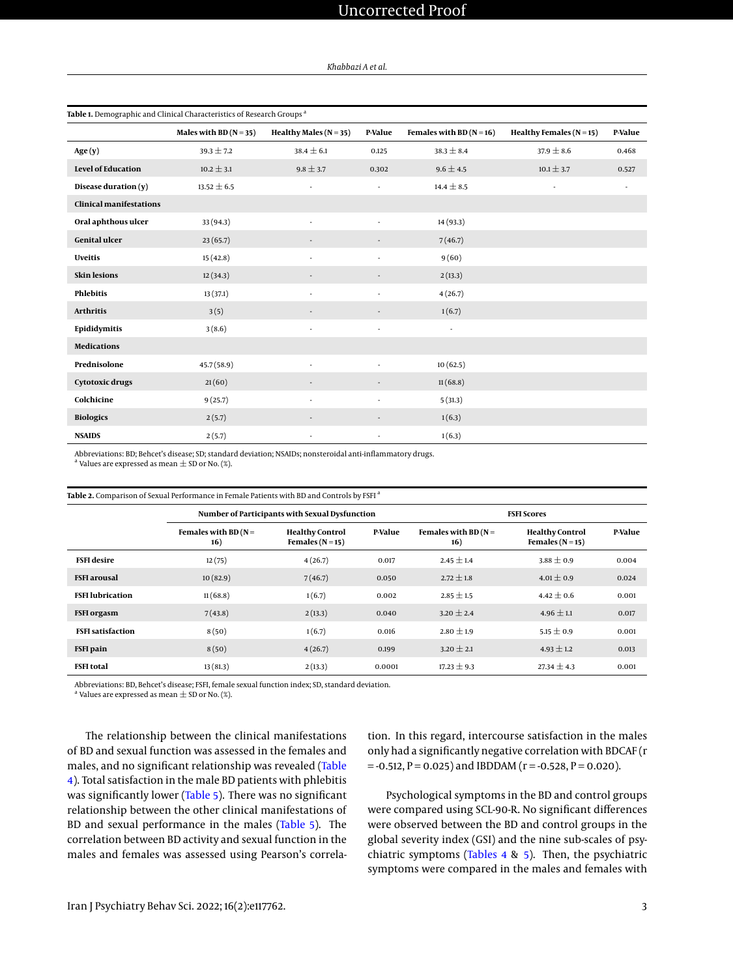<span id="page-2-0"></span>

| Table 1. Demographic and Clinical Characteristics of Research Groups <sup>a</sup> |                          |                            |         |                          |                          |         |
|-----------------------------------------------------------------------------------|--------------------------|----------------------------|---------|--------------------------|--------------------------|---------|
|                                                                                   | Males with BD $(N = 35)$ | Healthy Males ( $N = 35$ ) | P-Value | Females with BD $(N=16)$ | Healthy Females $(N=15)$ | P-Value |
| Age $(y)$                                                                         | $39.3 \pm 7.2$           | $38.4 \pm 6.1$             | 0.125   | $38.3 \pm 8.4$           | $37.9 \pm 8.6$           | 0.468   |
| <b>Level of Education</b>                                                         | $10.2 \pm 3.1$           | $9.8 \pm 3.7$              | 0.302   | $9.6 \pm 4.5$            | $10.1 \pm 3.7$           | 0.527   |
| Disease duration (y)                                                              | $13.52 \pm 6.5$          | ×,                         | ×,      | $14.4 \pm 8.5$           |                          |         |
| <b>Clinical manifestations</b>                                                    |                          |                            |         |                          |                          |         |
| Oral aphthous ulcer                                                               | 33 (94.3)                | ×,                         |         | 14 (93.3)                |                          |         |
| <b>Genital ulcer</b>                                                              | 23(65.7)                 |                            |         | 7(46.7)                  |                          |         |
| <b>Uveitis</b>                                                                    | 15(42.8)                 | ٠                          |         | 9(60)                    |                          |         |
| <b>Skin lesions</b>                                                               | 12(34.3)                 | ٠                          |         | 2(13.3)                  |                          |         |
| <b>Phlebitis</b>                                                                  | 13(37.1)                 | ٠                          |         | 4(26.7)                  |                          |         |
| <b>Arthritis</b>                                                                  | 3(5)                     | $\overline{\phantom{a}}$   |         | 1(6.7)                   |                          |         |
| Epididymitis                                                                      | 3(8.6)                   | ٠                          | ٠       | ٠                        |                          |         |
| <b>Medications</b>                                                                |                          |                            |         |                          |                          |         |
| Prednisolone                                                                      | 45.7(58.9)               | ÷,                         |         | 10(62.5)                 |                          |         |
| <b>Cytotoxic drugs</b>                                                            | 21(60)                   |                            |         | 11(68.8)                 |                          |         |
| Colchicine                                                                        | 9(25.7)                  | ٠                          |         | 5(31.3)                  |                          |         |
| <b>Biologics</b>                                                                  | 2(5.7)                   | ٠                          |         | 1(6.3)                   |                          |         |
| <b>NSAIDS</b>                                                                     | 2(5.7)                   | ٠                          | ٠       | 1(6.3)                   |                          |         |

Abbreviations: BD; Behcet's disease; SD; standard deviation; NSAIDs; nonsteroidal anti-inflammatory drugs.

 $^\mathrm{a}$  Values are expressed as mean  $\pm$  SD or No. (%).

| <b>Table 2.</b> Comparison of Sexual Performance in Female Patients with BD and Controls by FSFI $^{\rm a}$ |                               |                                                |         |                               |                                            |  |  |  |  |  |
|-------------------------------------------------------------------------------------------------------------|-------------------------------|------------------------------------------------|---------|-------------------------------|--------------------------------------------|--|--|--|--|--|
|                                                                                                             |                               | Number of Participants with Sexual Dysfunction |         |                               | <b>FSFI Scores</b>                         |  |  |  |  |  |
|                                                                                                             | Females with BD $(N =$<br>16) | <b>Healthy Control</b><br>Females ( $N = 15$ ) | P-Value | Females with BD $(N =$<br>16) | <b>Healthy Control</b><br>Females $(N=15)$ |  |  |  |  |  |
| <b>FSFI</b> desire                                                                                          | 12(75)                        | 4(26.7)                                        | 0.017   | $2.45 \pm 1.4$                | $3.88 \pm 0.9$                             |  |  |  |  |  |
| <b>ESEI</b> arousal                                                                                         | 10(829)                       | 7(467)                                         | 0.050   | $272 + 18$                    | $401 + 09$                                 |  |  |  |  |  |

<span id="page-2-1"></span>

|                          | 16)      | Females $(N = 15)$ |        | 16)             | Females $(N = 15)$ |       |
|--------------------------|----------|--------------------|--------|-----------------|--------------------|-------|
| <b>FSFI</b> desire       | 12(75)   | 4(26.7)            | 0.017  | $2.45 \pm 1.4$  | $3.88 \pm 0.9$     | 0.004 |
| <b>FSFI</b> arousal      | 10(82.9) | 7(46.7)            | 0.050  | $2.72 \pm 1.8$  | $4.01 \pm 0.9$     | 0.024 |
| <b>FSFI</b> lubrication  | 11(68.8) | 1(6.7)             | 0.002  | $2.85 \pm 1.5$  | $4.42 \pm 0.6$     | 0.001 |
| <b>FSFI</b> orgasm       | 7(43.8)  | 2(13.3)            | 0.040  | $3.20 \pm 2.4$  | $4.96 \pm 1.1$     | 0.017 |
| <b>FSFI</b> satisfaction | 8(50)    | 1(6.7)             | 0.016  | $2.80 \pm 1.9$  | $5.15 \pm 0.9$     | 0.001 |
| <b>FSFI</b> pain         | 8(50)    | 4(26.7)            | 0.199  | $3.20 \pm 2.1$  | 4.93 $\pm$ 1.2     | 0.013 |
| <b>FSFI</b> total        | 13(81.3) | 2(13.3)            | 0.0001 | $17.23 \pm 9.3$ | $27.34 \pm 4.3$    | 0.001 |

Abbreviations: BD, Behcet's disease; FSFI, female sexual function index; SD, standard deviation.

 $^\mathrm{a}$  Values are expressed as mean  $\pm$  SD or No. (%).

The relationship between the clinical manifestations of BD and sexual function was assessed in the females and males, and no significant relationship was revealed [\(Table](#page-3-1) [4\)](#page-3-1). Total satisfaction in the male BD patients with phlebitis was significantly lower [\(Table 5\)](#page-3-2). There was no significant relationship between the other clinical manifestations of BD and sexual performance in the males [\(Table 5\)](#page-3-2). The correlation between BD activity and sexual function in the males and females was assessed using Pearson's correla-

tion. In this regard, intercourse satisfaction in the males only had a significantly negative correlation with BDCAF (r  $= -0.512$ , P = 0.025) and IBDDAM (r = -0.528, P = 0.020).

Psychological symptoms in the BD and control groups were compared using SCL-90-R. No significant differences were observed between the BD and control groups in the global severity index (GSI) and the nine sub-scales of psy-chiatric symptoms [\(Tables 4](#page-3-1) & [5\)](#page-3-2). Then, the psychiatric symptoms were compared in the males and females with

**P-Value**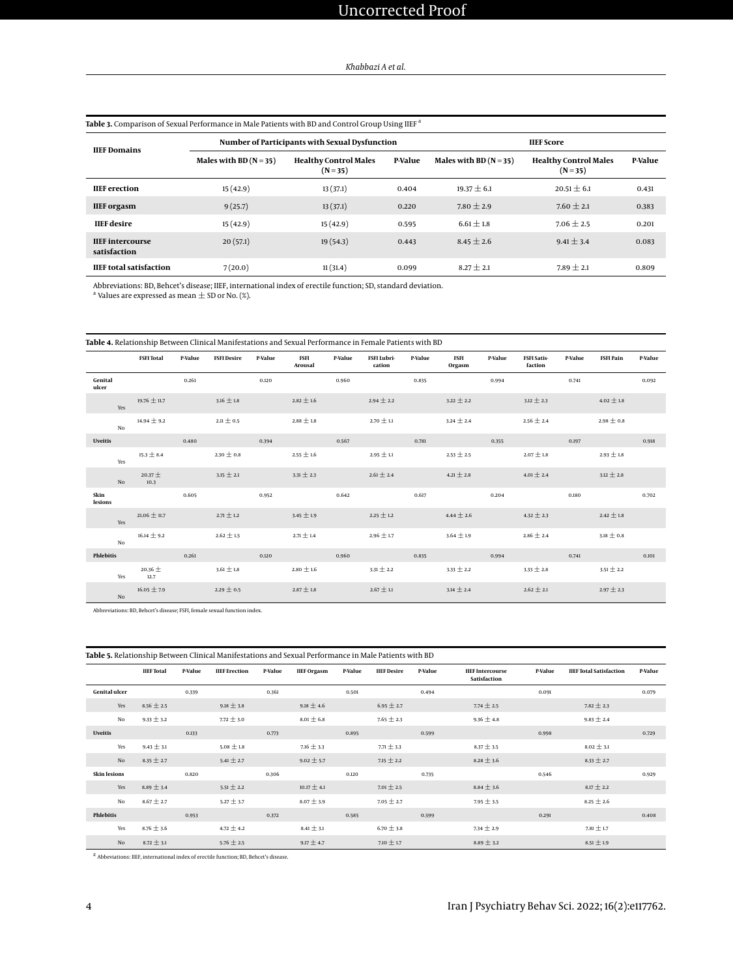<span id="page-3-0"></span>

| Table 3. Comparison of Sexual Performance in Male Patients with BD and Control Group Using IIEF <sup>a</sup> |                          |                                                |         |                        |                                            |         |  |  |  |
|--------------------------------------------------------------------------------------------------------------|--------------------------|------------------------------------------------|---------|------------------------|--------------------------------------------|---------|--|--|--|
| <b>IIEF</b> Domains                                                                                          |                          | Number of Participants with Sexual Dysfunction |         | <b>HEF</b> Score       |                                            |         |  |  |  |
|                                                                                                              | Males with BD $(N = 35)$ | <b>Healthy Control Males</b><br>$(N=35)$       | P-Value | Males with BD $(N=35)$ | <b>Healthy Control Males</b><br>$(N = 35)$ | P-Value |  |  |  |
| <b>IIEF</b> erection                                                                                         | 15(42.9)                 | 13(37.1)                                       | 0.404   | $19.37 \pm 6.1$        | $20.51 \pm 6.1$                            | 0.431   |  |  |  |
| <b>IIEF</b> orgasm                                                                                           | 9(25.7)                  | 13(37.1)                                       | 0.220   | $7.80 \pm 2.9$         | $7.60 + 2.1$                               | 0.383   |  |  |  |
| <b>IIEF</b> desire                                                                                           | 15(42.9)                 | 15(42.9)                                       | 0.595   | $6.61 \pm 1.8$         | $7.06 + 2.5$                               | 0.201   |  |  |  |
| <b>IIEF</b> intercourse<br>satisfaction                                                                      | 20(57.1)                 | 19(54.3)                                       | 0.443   | $8.45 \pm 2.6$         | $9.41 + 3.4$                               | 0.083   |  |  |  |
| <b>IIEF</b> total satisfaction                                                                               | 7(20.0)                  | 11(31.4)                                       | 0.099   | $8.27 \pm 2.1$         | $7.89 \pm 2.1$                             | 0.809   |  |  |  |

Abbreviations: BD, Behcet's disease; IIEF, international index of erectile function; SD, standard deviation.<br><sup>a</sup> Values are expressed as mean ± SD or No. (%).

<span id="page-3-1"></span>

|                  | <b>FSFI</b> Total   | P-Value | <b>FSFI Desire</b> | P-Value | <b>FSFI</b><br>Arousal | P-Value | FSFI Lubri-<br>cation | P-Value | FSFI<br>Orgasm | P-Value | <b>FSFI Satis-</b><br>faction | P-Value | <b>FSFI Pain</b> | P-Value |
|------------------|---------------------|---------|--------------------|---------|------------------------|---------|-----------------------|---------|----------------|---------|-------------------------------|---------|------------------|---------|
| Genital<br>ulcer |                     | 0.261   |                    | 0.120   |                        | 0.960   |                       | 0.835   |                | 0.994   |                               | 0.741   |                  | 0.092   |
| Yes              | $19.76 \pm 11.7$    |         | $3.16 \pm 1.8$     |         | $2.82 \pm 1.6$         |         | $2.94 \pm 2.2$        |         | $3.22 \pm 2.2$ |         | $3.12 \pm 2.3$                |         | $4.02 \pm 1.8$   |         |
| No               | $14.94 \pm 9.2$     |         | $2.11\pm0.5$       |         | $2.88\pm1.8$           |         | 2.70 $\pm$ 1.1        |         | $3.24 \pm 2.4$ |         | 2.56 $\pm$ 2.4                |         | $2.98 \pm 0.8$   |         |
| <b>Uveitis</b>   |                     | 0.480   |                    | 0.394   |                        | 0.567   |                       | 0.781   |                | 0.355   |                               | 0.197   |                  | 0.918   |
| Yes              | $15.3 \pm 8.4$      |         | 2.30 $\pm$ 0.8     |         | $2.55\pm1.6$           |         | $2.95\pm1.1$          |         | 2.53 $\pm$ 2.5 |         | $2.07\pm1.8$                  |         | 2.93 $\pm$ 1.8   |         |
| No               | $20.37 +$<br>10.3   |         | $3.15 \pm 2.1$     |         | $3.31 \pm 2.3$         |         | $2.61 \pm 2.4$        |         | $4.21\pm2.8$   |         | $4.01\pm2.4$                  |         | $3.12 \pm 2.8$   |         |
| Skin<br>lesions  |                     | 0.605   |                    | 0.952   |                        | 0.642   |                       | 0.617   |                | 0.204   |                               | 0.180   |                  | 0.702   |
| Yes              | $21.06 \pm 11.7$    |         | $2.71 \pm 1.2$     |         | $3.45 \pm 1.9$         |         | 2.25 $\pm$ 1.2        |         | $4.44 \pm 2.6$ |         | $4.32 \pm 2.3$                |         | $2.42 \pm 1.8$   |         |
| No               | $16.14 \pm 9.2$     |         | $2.62\pm1.5$       |         | $2.71\pm1.4$           |         | $2.96 \pm 1.7$        |         | $3.64 \pm 1.9$ |         | $2.86 \pm 2.4$                |         | $3.18 \pm 0.8$   |         |
| <b>Phlebitis</b> |                     | 0.261   |                    | 0.120   |                        | 0.960   |                       | 0.835   |                | 0.994   |                               | 0.741   |                  | 0.101   |
| Yes              | 20.36 $\pm$<br>12.7 |         | $3.61 \pm 1.8$     |         | 2.80 $\pm$ 1.6         |         | $3.31 \pm 2.2$        |         | $3.33 \pm 2.2$ |         | $3.33 \pm 2.8$                |         | $3.51 \pm 2.2$   |         |
| No               | $16.05 \pm 7.9$     |         | 2.29 $\pm$ 0.5     |         | $2.87\pm1.8$           |         | $2.67\pm1.1$          |         | $3.14 \pm 2.4$ |         | $2.62 \pm 2.1$                |         | $2.97 \pm 2.3$   |         |

Abbreviations: BD, Behcet's disease; FSFI, female sexual function index.

<span id="page-3-2"></span>

| Table 5. Relationship Between Clinical Manifestations and Sexual Performance in Male Patients with BD |                   |         |                      |         |                    |         |                    |         |                                         |         |                                |         |
|-------------------------------------------------------------------------------------------------------|-------------------|---------|----------------------|---------|--------------------|---------|--------------------|---------|-----------------------------------------|---------|--------------------------------|---------|
|                                                                                                       | <b>IIEF</b> Total | P-Value | <b>IIEF</b> Erection | P-Value | <b>IIEF</b> Orgasm | P-Value | <b>IIEF</b> Desire | P-Value | <b>IIEF Intercourse</b><br>Satisfaction | P-Value | <b>IIEF</b> Total Satisfaction | P-Value |
| <b>Genital ulcer</b>                                                                                  |                   | 0.339   |                      | 0.361   |                    | 0.501   |                    | 0.494   |                                         | 0.091   |                                | 0.079   |
| Yes                                                                                                   | $8.56 \pm 2.5$    |         | $9.18 \pm 3.8$       |         | $9.18 \pm 4.6$     |         | $6.95 \pm 2.7$     |         | $7.74 \pm 2.5$                          |         | $7.82 \pm 2.3$                 |         |
| No                                                                                                    | $9.33 \pm 3.2$    |         | $7.72 \pm 3.0$       |         | $8.01 \pm 6.8$     |         | $7.65 \pm 2.3$     |         | $9.36 \pm 4.8$                          |         | $9.83 \pm 2.4$                 |         |
| <b>Uveitis</b>                                                                                        |                   | 0.133   |                      | 0.773   |                    | 0.895   |                    | 0.599   |                                         | 0.998   |                                | 0.729   |
| Yes                                                                                                   | $9.43 \pm 3.1$    |         | $5.08 \pm 1.8$       |         | $7.16 \pm 3.3$     |         | $7.71 \pm 3.3$     |         | $8.37 \pm 3.5$                          |         | $8.02 \pm 3.1$                 |         |
| No                                                                                                    | $8.35 \pm 2.7$    |         | $5.41 \pm 2.7$       |         | $9.02 \pm 5.7$     |         | $7.15 \pm 2.2$     |         | $8.28 \pm 3.6$                          |         | $8.33 \pm 2.7$                 |         |
| <b>Skin lesions</b>                                                                                   |                   | 0.820   |                      | 0.306   |                    | 0.120   |                    | 0.735   |                                         | 0.546   |                                | 0.929   |
| Yes                                                                                                   | $8.89 \pm 3.4$    |         | $5.51 \pm 2.2$       |         | $10.17 \pm 4.1$    |         | $7.01 \pm 2.5$     |         | $8.84 \pm 3.6$                          |         | $8.17 \pm 2.2$                 |         |
| No                                                                                                    | $8.67 \pm 2.7$    |         | $5.27 \pm 3.7$       |         | $8.07 \pm 3.9$     |         | $7.05 \pm 2.7$     |         | $7.95 \pm 3.5$                          |         | $8.25 \pm 2.6$                 |         |
| <b>Phlebitis</b>                                                                                      |                   | 0.953   |                      | 0.372   |                    | 0.585   |                    | 0.599   |                                         | 0.291   |                                | 0.408   |
| Yes                                                                                                   | $8.76 \pm 3.6$    |         | $4.72 \pm 4.2$       |         | $8.41 \pm 3.1$     |         | $6.70 \pm 3.8$     |         | $7.34 \pm 2.9$                          |         | $7.81 \pm 1.7$                 |         |
| No                                                                                                    | $8.72 \pm 3.1$    |         | $5.76 \pm 2.5$       |         | $9.17 \pm 4.7$     |         | $7.10 \pm 1.7$     |         | $8.89 \pm 3.2$                          |         | $8.51 \pm 1.9$                 |         |

z Abbeviations: IIEF, international index of erectile function; BD, Behcet's disease.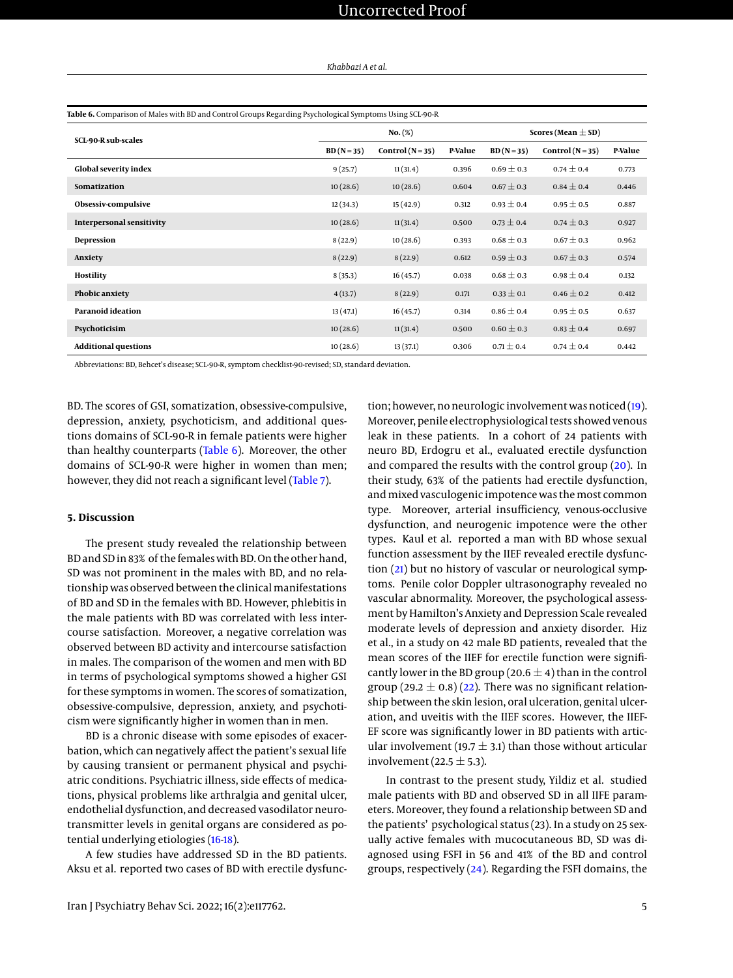<span id="page-4-0"></span>

| Table 6. Comparison of Males with BD and Control Groups Regarding Psychological Symptoms Using SCL-90-R |            |                        |         |                |                    |         |  |  |  |
|---------------------------------------------------------------------------------------------------------|------------|------------------------|---------|----------------|--------------------|---------|--|--|--|
| <b>SCL-90-R sub-scales</b>                                                                              |            | Scores (Mean $\pm$ SD) |         |                |                    |         |  |  |  |
|                                                                                                         | $BD(N=35)$ | Control $(N=35)$       | P-Value | $BD(N=35)$     | Control $(N = 35)$ | P-Value |  |  |  |
| <b>Global severity index</b>                                                                            | 9(25.7)    | 11(31.4)               | 0.396   | $0.69 \pm 0.3$ | $0.74 \pm 0.4$     | 0.773   |  |  |  |
| Somatization                                                                                            | 10(28.6)   | 10(28.6)               | 0.604   | $0.67 \pm 0.3$ | $0.84 \pm 0.4$     | 0.446   |  |  |  |
| Obsessiv-compulsive                                                                                     | 12(34.3)   | 15(42.9)               | 0.312   | $0.93 \pm 0.4$ | $0.95 \pm 0.5$     | 0.887   |  |  |  |
| <b>Interpersonal sensitivity</b>                                                                        | 10(28.6)   | 11(31.4)               | 0.500   | $0.73 \pm 0.4$ | $0.74 \pm 0.3$     | 0.927   |  |  |  |
| Depression                                                                                              | 8(22.9)    | 10(28.6)               | 0.393   | $0.68 \pm 0.3$ | $0.67 \pm 0.3$     | 0.962   |  |  |  |
| Anxiety                                                                                                 | 8(22.9)    | 8(22.9)                | 0.612   | $0.59 \pm 0.3$ | $0.67 \pm 0.3$     | 0.574   |  |  |  |
| <b>Hostility</b>                                                                                        | 8(35.3)    | 16(45.7)               | 0.038   | $0.68 \pm 0.3$ | $0.98 \pm 0.4$     | 0.132   |  |  |  |
| Phobic anxiety                                                                                          | 4(13.7)    | 8(22.9)                | 0.171   | $0.33 \pm 0.1$ | $0.46 \pm 0.2$     | 0.412   |  |  |  |
| <b>Paranoid ideation</b>                                                                                | 13(47.1)   | 16(45.7)               | 0.314   | $0.86\pm0.4$   | $0.95 \pm 0.5$     | 0.637   |  |  |  |
| Psychoticisim                                                                                           | 10(28.6)   | 11(31.4)               | 0.500   | $0.60 \pm 0.3$ | $0.83 \pm 0.4$     | 0.697   |  |  |  |
| <b>Additional questions</b>                                                                             | 10(28.6)   | 13(37.1)               | 0.306   | $0.71 \pm 0.4$ | $0.74 \pm 0.4$     | 0.442   |  |  |  |

Abbreviations: BD, Behcet's disease; SCL-90-R, symptom checklist-90-revised; SD, standard deviation.

BD. The scores of GSI, somatization, obsessive-compulsive, depression, anxiety, psychoticism, and additional questions domains of SCL-90-R in female patients were higher than healthy counterparts [\(Table 6\)](#page-4-0). Moreover, the other domains of SCL-90-R were higher in women than men; however, they did not reach a significant level [\(Table 7\)](#page-5-0).

## **5. Discussion**

The present study revealed the relationship between BD and SD in 83% of the females with BD.On the other hand, SD was not prominent in the males with BD, and no relationship was observed between the clinical manifestations of BD and SD in the females with BD. However, phlebitis in the male patients with BD was correlated with less intercourse satisfaction. Moreover, a negative correlation was observed between BD activity and intercourse satisfaction in males. The comparison of the women and men with BD in terms of psychological symptoms showed a higher GSI for these symptoms in women. The scores of somatization, obsessive-compulsive, depression, anxiety, and psychoticism were significantly higher in women than in men.

BD is a chronic disease with some episodes of exacerbation, which can negatively affect the patient's sexual life by causing transient or permanent physical and psychiatric conditions. Psychiatric illness, side effects of medications, physical problems like arthralgia and genital ulcer, endothelial dysfunction, and decreased vasodilator neurotransmitter levels in genital organs are considered as potential underlying etiologies [\(16-](#page-6-14)[18\)](#page-6-15).

A few studies have addressed SD in the BD patients. Aksu et al. reported two cases of BD with erectile dysfunction; however, no neurologic involvement was noticed [\(19\)](#page-6-16). Moreover, penile electrophysiological tests showed venous leak in these patients. In a cohort of 24 patients with neuro BD, Erdogru et al., evaluated erectile dysfunction and compared the results with the control group [\(20\)](#page-6-17). In their study, 63% of the patients had erectile dysfunction, and mixed vasculogenic impotence was the most common type. Moreover, arterial insufficiency, venous-occlusive dysfunction, and neurogenic impotence were the other types. Kaul et al. reported a man with BD whose sexual function assessment by the IIEF revealed erectile dysfunction [\(21\)](#page-6-18) but no history of vascular or neurological symptoms. Penile color Doppler ultrasonography revealed no vascular abnormality. Moreover, the psychological assessment by Hamilton's Anxiety and Depression Scale revealed moderate levels of depression and anxiety disorder. Hiz et al., in a study on 42 male BD patients, revealed that the mean scores of the IIEF for erectile function were significantly lower in the BD group (20.6  $\pm$  4) than in the control group (29.2  $\pm$  0.8) [\(22\)](#page-6-19). There was no significant relationship between the skin lesion, oral ulceration, genital ulceration, and uveitis with the IIEF scores. However, the IIEF-EF score was significantly lower in BD patients with articular involvement (19.7  $\pm$  3.1) than those without articular involvement (22.5  $\pm$  5.3).

In contrast to the present study, Yildiz et al. studied male patients with BD and observed SD in all IIFE parameters. Moreover, they found a relationship between SD and the patients' psychological status (23). In a study on 25 sexually active females with mucocutaneous BD, SD was diagnosed using FSFI in 56 and 41% of the BD and control groups, respectively [\(24\)](#page-6-20). Regarding the FSFI domains, the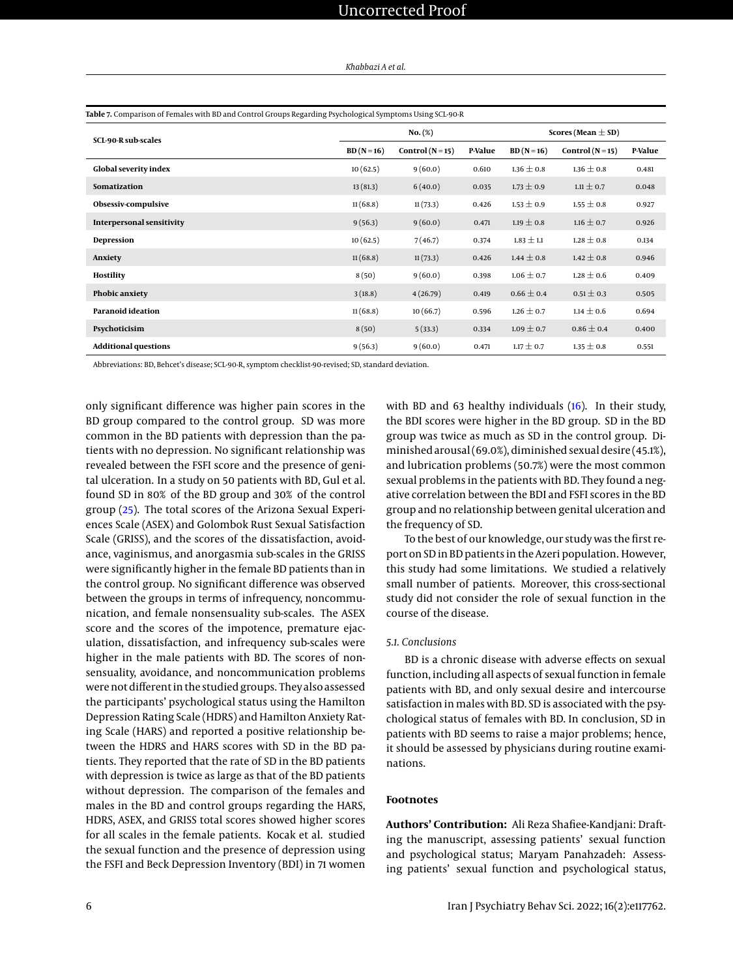|  | Khabbazi A et al. |  |
|--|-------------------|--|
|--|-------------------|--|

<span id="page-5-0"></span>

| Table 7. Comparison of Females with BD and Control Groups Regarding Psychological Symptoms Using SCL-90-R |            |                        |         |                |                                                                                                                                                                                    |         |
|-----------------------------------------------------------------------------------------------------------|------------|------------------------|---------|----------------|------------------------------------------------------------------------------------------------------------------------------------------------------------------------------------|---------|
| <b>SCL-90-R sub-scales</b>                                                                                |            | Scores (Mean $\pm$ SD) |         |                |                                                                                                                                                                                    |         |
|                                                                                                           | $BD(N=16)$ | Control $(N=15)$       | P-Value | $BD(N=16)$     | Control $(N=15)$<br>$1.36 \pm 0.8$<br>$1.11 \pm 0.7$<br>$1.55 \pm 0.8$<br>$1.16 \pm 0.7$<br>$1.28 \pm 0.8$<br>$1.42 \pm 0.8$<br>$1.28 \pm 0.6$<br>$0.51 \pm 0.3$<br>$1.14 \pm 0.6$ | P-Value |
| <b>Global severity index</b>                                                                              | 10(62.5)   | 9(60.0)                | 0.610   | $1.36 \pm 0.8$ |                                                                                                                                                                                    | 0.481   |
| Somatization                                                                                              | 13(81.3)   | 6(40.0)                | 0.035   | $1.73 \pm 0.9$ |                                                                                                                                                                                    | 0.048   |
| Obsessiv-compulsive                                                                                       | 11(68.8)   | 11(73.3)               | 0.426   | $1.53 \pm 0.9$ |                                                                                                                                                                                    | 0.927   |
| <b>Interpersonal sensitivity</b>                                                                          | 9(56.3)    | 9(60.0)                | 0.471   | $1.19 \pm 0.8$ |                                                                                                                                                                                    | 0.926   |
| Depression                                                                                                | 10(62.5)   | 7(46.7)                | 0.374   | $1.83 \pm 1.1$ |                                                                                                                                                                                    | 0.134   |
| Anxiety                                                                                                   | 11(68.8)   | 11(73.3)               | 0.426   | $1.44 \pm 0.8$ |                                                                                                                                                                                    | 0.946   |
| Hostility                                                                                                 | 8(50)      | 9(60.0)                | 0.398   | $1.06 \pm 0.7$ |                                                                                                                                                                                    | 0.409   |
| Phobic anxiety                                                                                            | 3(18.8)    | 4(26.79)               | 0.419   | $0.66 \pm 0.4$ |                                                                                                                                                                                    | 0.505   |
| <b>Paranoid ideation</b>                                                                                  | 11(68.8)   | 10(66.7)               | 0.596   | $1.26 \pm 0.7$ |                                                                                                                                                                                    | 0.694   |
| Psychoticisim                                                                                             | 8(50)      | 5(33.3)                | 0.334   | $1.09 \pm 0.7$ | $0.86 \pm 0.4$                                                                                                                                                                     | 0.400   |
| <b>Additional questions</b>                                                                               | 9(56.3)    | 9(60.0)                | 0.471   | $1.17 \pm 0.7$ | $1.35 \pm 0.8$                                                                                                                                                                     | 0.551   |

Abbreviations: BD, Behcet's disease; SCL-90-R, symptom checklist-90-revised; SD, standard deviation.

only significant difference was higher pain scores in the BD group compared to the control group. SD was more common in the BD patients with depression than the patients with no depression. No significant relationship was revealed between the FSFI score and the presence of genital ulceration. In a study on 50 patients with BD, Gul et al. found SD in 80% of the BD group and 30% of the control group [\(25\)](#page-6-21). The total scores of the Arizona Sexual Experiences Scale (ASEX) and Golombok Rust Sexual Satisfaction Scale (GRISS), and the scores of the dissatisfaction, avoidance, vaginismus, and anorgasmia sub-scales in the GRISS were significantly higher in the female BD patients than in the control group. No significant difference was observed between the groups in terms of infrequency, noncommunication, and female nonsensuality sub-scales. The ASEX score and the scores of the impotence, premature ejaculation, dissatisfaction, and infrequency sub-scales were higher in the male patients with BD. The scores of nonsensuality, avoidance, and noncommunication problems were not different in the studied groups. They also assessed the participants' psychological status using the Hamilton Depression Rating Scale (HDRS) and Hamilton Anxiety Rating Scale (HARS) and reported a positive relationship between the HDRS and HARS scores with SD in the BD patients. They reported that the rate of SD in the BD patients with depression is twice as large as that of the BD patients without depression. The comparison of the females and males in the BD and control groups regarding the HARS, HDRS, ASEX, and GRISS total scores showed higher scores for all scales in the female patients. Kocak et al. studied the sexual function and the presence of depression using the FSFI and Beck Depression Inventory (BDI) in 71 women with BD and 63 healthy individuals [\(16\)](#page-6-14). In their study, the BDI scores were higher in the BD group. SD in the BD group was twice as much as SD in the control group. Diminished arousal (69.0%), diminished sexual desire (45.1%), and lubrication problems (50.7%) were the most common sexual problems in the patients with BD. They found a negative correlation between the BDI and FSFI scores in the BD group and no relationship between genital ulceration and the frequency of SD.

To the best of our knowledge, our study was the first report on SD in BD patients in the Azeri population. However, this study had some limitations. We studied a relatively small number of patients. Moreover, this cross-sectional study did not consider the role of sexual function in the course of the disease.

### *5.1. Conclusions*

BD is a chronic disease with adverse effects on sexual function, including all aspects of sexual function in female patients with BD, and only sexual desire and intercourse satisfaction in males with BD. SD is associated with the psychological status of females with BD. In conclusion, SD in patients with BD seems to raise a major problems; hence, it should be assessed by physicians during routine examinations.

## **Footnotes**

**Authors' Contribution:** Ali Reza Shafiee-Kandjani: Drafting the manuscript, assessing patients' sexual function and psychological status; Maryam Panahzadeh: Assessing patients' sexual function and psychological status,